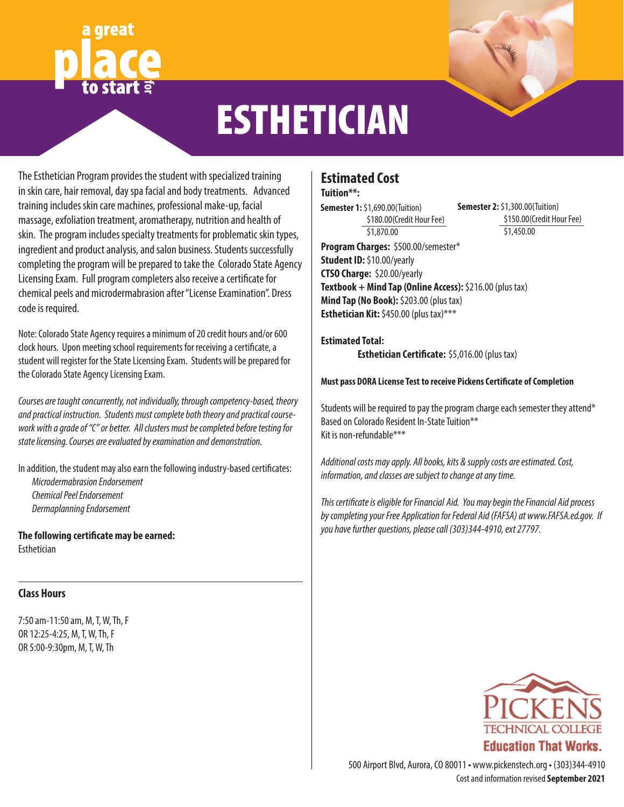# **for**



## **ESTHETICIAN**

The Esthetician Program provides the student with specialized training in skin care, hair removal, day spa facial and body treatments. Advanced training includes skin care machines, professional make-up, facial massage, exfoliation treatment, aromatherapy, nutrition and health of skin. The program includes specialty treatments for problematic skin types, ingredient and product analysis, and salon business. Students successfully completing the program will be prepared to take the Colorado State Agency Licensing Exam. Full program completers also receive a certificate for chemical peels and microdermabrasion after "License Examination". Dress code is required.

Note: Colorado State Agency requires a minimum of 20 credit hours and/or 600 clock hours. Upon meeting school requirements for receiving a certificate, a student will register for the State Licensing Exam. Students will be prepared for the Colorado State Agency Licensing Exam.

*Courses are taught concurrently, not individually, through competency-based, theory and practical instruction. Students must complete both theory and practical coursework with a grade of "C" or better. All clusters must be completed before testing for state licensing. Courses are evaluated by examination and demonstration.*

In addition, the student may also earn the following industry-based certificates: *Microdermabrasion Endorsement Chemical Peel Endorsement Dermaplanning Endorsement*

**The following certificate may be earned:** Esthetician

#### **Class Hours**

7:50 am-11:50 am, M, T, W, Th, F OR 12:25-4:25, M, T, W, Th, F OR 5:00-9:30pm, M, T, W, Th

### **Estimated Cost**

#### **Tuition\*\*:**

**Semester 1:** \$1,690.00(Tuition) \$180.00(Credit Hour Fee) \$1,870.00

**Semester 2:** \$1,300.00(Tuition) \$150.00(Credit Hour Fee) \$1,450.00

**Program Charges:** \$500.00/semester\* **Student ID:** \$10.00/yearly **CTSO Charge:** \$20.00/yearly **Textbook + Mind Tap (Online Access):** \$216.00 (plus tax) **Mind Tap (No Book):** \$203.00 (plus tax) **Esthetician Kit:** \$450.00 (plus tax)\*\*\*

#### **Estimated Total: Esthetician Certificate:** \$5,016.00 (plus tax)

#### **Must pass DORA License Test to receive Pickens Certificate of Completion**

Students will be required to pay the program charge each semester they attend\* Based on Colorado Resident In-State Tuition\*\* Kit is non-refundable\*\*\*

*Additional costs may apply. All books, kits & supply costs are estimated. Cost, information, and classes are subject to change at any time.*

*This certificate is eligible for Financial Aid. You may begin the Financial Aid process by completing your Free Application for Federal Aid (FAFSA) at www.FAFSA.ed.gov. If you have further questions, please call (303)344-4910, ext 27797.*



Cost and information revised **September 2021** 500 Airport Blvd, Aurora, CO 80011 • www.pickenstech.org • (303)344-4910